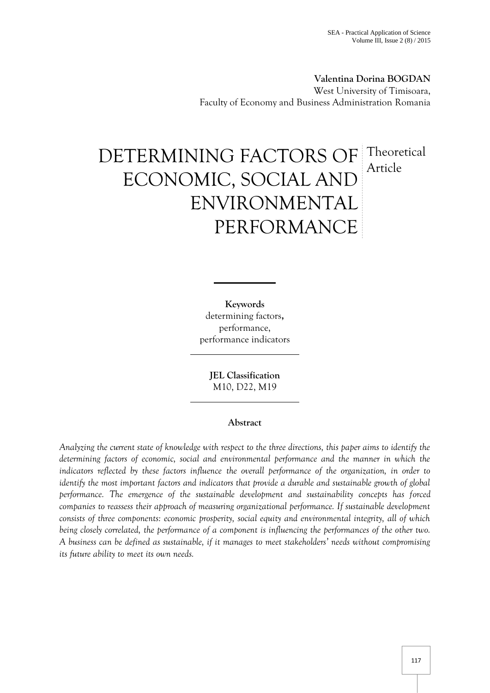**Valentina Dorina BOGDAN** West University of Timisoara, Faculty of Economy and Business Administration Romania

# DETERMINING FACTORS OF ECONOMIC, SOCIAL AND ENVIRONMENTAL PERFORMANCE **Theoretical** Article

**Keywords** determining factors**,** performance, performance indicators

> **JEL Classification** M10, D22, M19

# **Abstract**

*Analyzing the current state of knowledge with respect to the three directions, this paper aims to identify the determining factors of economic, social and environmental performance and the manner in which the indicators reflected by these factors influence the overall performance of the organization, in order to identify the most important factors and indicators that provide a durable and sustainable growth of global performance. The emergence of the sustainable development and sustainability concepts has forced companies to reassess their approach of measuring organizational performance. If sustainable development consists of three components: economic prosperity, social equity and environmental integrity, all of which being closely correlated, the performance of a component is influencing the performances of the other two. A business can be defined as sustainable, if it manages to meet stakeholders' needs without compromising its future ability to meet its own needs.*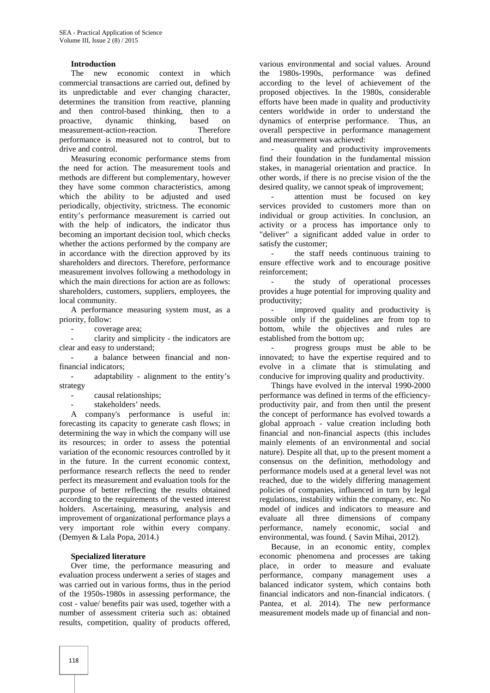## **Introduction**

The new economic context in which commercial transactions are carried out, defined by its unpredictable and ever changing character, determines the transition from reactive, planning and then control-based thinking, then to a proactive, dynamic thinking, based on<br>measurement-action-reaction. Therefore measurement-action-reaction. performance is measured not to control, but to drive and control.

Measuring economic performance stems from the need for action. The measurement tools and methods are different but complementary, however they have some common characteristics, among which the ability to be adjusted and used periodically, objectivity, strictness. The economic entity's performance measurement is carried out with the help of indicators, the indicator thus becoming an important decision tool, which checks whether the actions performed by the company are in accordance with the direction approved by its shareholders and directors. Therefore, performance measurement involves following a methodology in which the main directions for action are as follows: shareholders, customers, suppliers, employees, the local community.

A performance measuring system must, as a priority, follow:

coverage area;

- clarity and simplicity - the indicators are clear and easy to understand;

a balance between financial and nonfinancial indicators;

- adaptability - alignment to the entity's strategy

- causal relationships;

stakeholders' needs.

A company's performance is useful in: forecasting its capacity to generate cash flows; in determining the way in which the company will use its resources; in order to assess the potential variation of the economic resources controlled by it in the future. In the current economic context, performance research reflects the need to render perfect its measurement and evaluation tools for the purpose of better reflecting the results obtained according to the requirements of the vested interest holders. Ascertaining, measuring, analysis and improvement of organizational performance plays a very important role within every company. (Demyen & Lala Popa, 2014.)

#### **Specialized literature**

Over time, the performance measuring and evaluation process underwent a series of stages and was carried out in various forms, thus in the period of the 1950s-1980s in assessing performance, the cost - value/ benefits pair was used, together with a number of assessment criteria such as: obtained results, competition, quality of products offered,

various environmental and social values. Around the 1980s-1990s, performance was defined according to the level of achievement of the proposed objectives. In the 1980s, considerable efforts have been made in quality and productivity centers worldwide in order to understand the dynamics of enterprise performance. Thus, an overall perspective in performance management and measurement was achieved:

quality and productivity improvements find their foundation in the fundamental mission stakes, in managerial orientation and practice. In other words, if there is no precise vision of the the desired quality, we cannot speak of improvement;

attention must be focused on key services provided to customers more than on individual or group activities. In conclusion, an activity or a process has importance only to "deliver" a significant added value in order to satisfy the customer;

the staff needs continuous training to ensure effective work and to encourage positive reinforcement;

- the study of operational processes provides a huge potential for improving quality and productivity;

improved quality and productivity is possible only if the guidelines are from top to bottom, while the objectives and rules are established from the bottom up;

- progress groups must be able to be innovated; to have the expertise required and to evolve in a climate that is stimulating and conducive for improving quality and productivity.

Things have evolved in the interval 1990-2000 performance was defined in terms of the efficiency productivity pair, and from then until the present the concept of performance has evolved towards a global approach - value creation including both financial and non-financial aspects (this includes mainly elements of an environmental and social nature). Despite all that, up to the present moment a consensus on the definition, methodology and performance models used at a general level was not reached, due to the widely differing management policies of companies, influenced in turn by legal regulations, instability within the company, etc. No model of indices and indicators to measure and evaluate all three dimensions of company performance, namely economic, social and environmental, was found. ( Savin Mihai, 2012).

Because, in an economic entity, complex economic phenomena and processes are taking place, in order to measure and evaluate performance, company management uses a balanced indicator system, which contains both financial indicators and non-financial indicators. ( Pantea, et al. 2014). The new performance measurement models made up of financial and non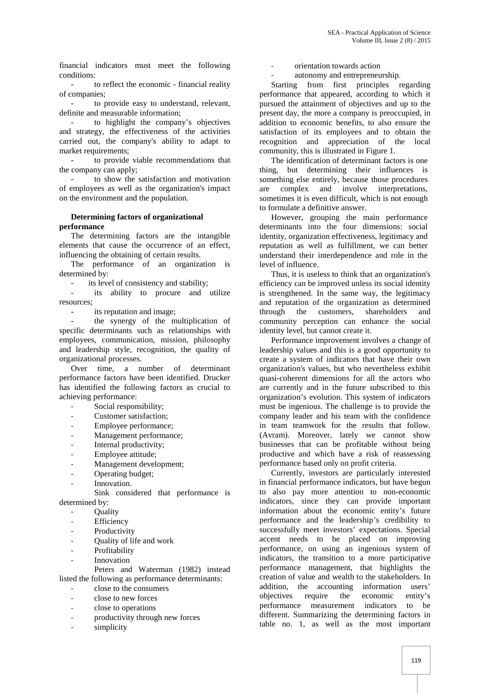financial indicators must meet the following conditions:

- to reflect the economic - financial reality of companies;

to provide easy to understand, relevant, definite and measurable information;

to highlight the company's objectives and strategy, the effectiveness of the activities carried out, the company's ability to adapt to market requirements;

to provide viable recommendations that the company can apply;

to show the satisfaction and motivation of employees as well as the organization's impact on the environment and the population.

## **Determining factors of organizational**

#### **performance**

The determining factors are the intangible elements that cause the occurrence of an effect, influencing the obtaining of certain results.

The performance of an organization is determined by:

- its level of consistency and stability;

its ability to procure and utilize resources;

its reputation and image:

the synergy of the multiplication of specific determinants such as relationships with employees, communication, mission, philosophy and leadership style, recognition, the quality of organizational processes.

Over time, a number of determinant performance factors have been identified. Drucker has identified the following factors as crucial to achieving performance:

- Social responsibility;
- Customer satisfaction;
- Employee performance;
- Management performance;
- Internal productivity;
- Employee attitude;
- Management development;
- Operating budget:
- Innovation.

Sink considered that performance is determined by:

- **Ouality**
- **Efficiency**
- Productivity
- Quality of life and work
- Profitability
- **Innovation**

Peters and Waterman (1982) instead listed the following as performance determinants:

- close to the consumers
- close to new forces
- close to operations
- productivity through new forces
- simplicity
- orientation towards action
- autonomy and entrepreneurship.

Starting from first principles regarding performance that appeared, according to which it pursued the attainment of objectives and up to the present day, the more a company is preoccupied, in addition to economic benefits, to also ensure the satisfaction of its employees and to obtain the recognition and appreciation of the local community, this is illustrated in Figure 1.

The identification of determinant factors is one thing, but determining their influences is something else entirely, because those procedures are complex and involve interpretations, sometimes it is even difficult, which is not enough to formulate a definitive answer.

However, grouping the main performance determinants into the four dimensions: social identity, organization effectiveness, legitimacy and reputation as well as fulfillment, we can better understand their interdependence and role in the level of influence.

Thus, it is useless to think that an organization's efficiency can be improved unless its social identity is strengthened. In the same way, the legitimacy and reputation of the organization as determined through the customers, shareholders and community perception can enhance the social identity level, but cannot create it.

Performance improvement involves a change of leadership values and this is a good opportunity to create a system of indicators that have their own organization's values, but who nevertheless exhibit quasi-coherent dimensions for all the actors who are currently and in the future subscribed to this organization's evolution. This system of indicators must be ingenious. The challenge is to provide the company leader and his team with the confidence in team teamwork for the results that follow. (Avram). Moreover, lately we cannot show businesses that can be profitable without being productive and which have a risk of reassessing performance based only on profit criteria.

Currently, investors are particularly interested in financial performance indicators, but have begun to also pay more attention to non-economic indicators, since they can provide important information about the economic entity's future performance and the leadership's credibility to successfully meet investors' expectations. Special accent needs to be placed on improving performance, on using an ingenious system of indicators, the transition to a more participative performance management, that highlights the creation of value and wealth to the stakeholders. In addition, the accounting information users' objectives require the economic entity's performance measurement indicators to be different. Summarizing the determining factors in table no. 1, as well as the most important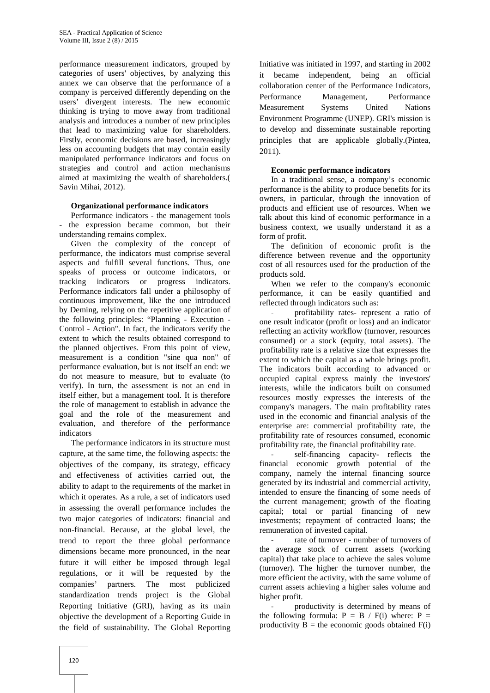performance measurement indicators, grouped by categories of users' objectives, by analyzing this annex we can observe that the performance of a company is perceived differently depending on the users' divergent interests. The new economic thinking is trying to move away from traditional analysis and introduces a number of new principles that lead to maximizing value for shareholders. Firstly, economic decisions are based, increasingly less on accounting budgets that may contain easily manipulated performance indicators and focus on strategies and control and action mechanisms aimed at maximizing the wealth of shareholders.( Savin Mihai, 2012).

## **Organizational performance indicators**

Performance indicators - the management tools - the expression became common, but their understanding remains complex.

Given the complexity of the concept of performance, the indicators must comprise several aspects and fulfill several functions. Thus, one speaks of process or outcome indicators, or tracking indicators or progress indicators. Performance indicators fall under a philosophy of continuous improvement, like the one introduced by Deming, relying on the repetitive application of the following principles: "Planning - Execution - Control - Action". In fact, the indicators verify the extent to which the results obtained correspond to the planned objectives. From this point of view, measurement is a condition "sine qua non" of performance evaluation, but is not itself an end: we do not measure to measure, but to evaluate (to verify). In turn, the assessment is not an end in itself either, but a management tool. It is therefore the role of management to establish in advance the goal and the role of the measurement and evaluation, and therefore of the performance indicators

The performance indicators in its structure must capture, at the same time, the following aspects: the objectives of the company, its strategy, efficacy and effectiveness of activities carried out, the ability to adapt to the requirements of the market in which it operates. As a rule, a set of indicators used in assessing the overall performance includes the two major categories of indicators: financial and non-financial. Because, at the global level, the trend to report the three global performance dimensions became more pronounced, in the near future it will either be imposed through legal regulations, or it will be requested by the companies' partners. The most publicized standardization trends project is the Global Reporting Initiative (GRI), having as its main objective the development of a Reporting Guide in the field of sustainability. The Global Reporting

Initiative was initiated in 1997, and starting in 2002 it became independent, being an official collaboration center of the Performance Indicators, Performance Management, Performance Measurement Systems United Nations Environment Programme (UNEP). GRI's mission is to develop and disseminate sustainable reporting principles that are applicable globally.(Pintea, 2011).

## **Economic performance indicators**

In a traditional sense, a company's economic performance is the ability to produce benefits for its owners, in particular, through the innovation of products and efficient use of resources. When we talk about this kind of economic performance in a business context, we usually understand it as a form of profit.

The definition of economic profit is the difference between revenue and the opportunity cost of all resources used for the production of the products sold.

When we refer to the company's economic performance, it can be easily quantified and reflected through indicators such as:

profitability rates- represent a ratio of one result indicator (profit or loss) and an indicator reflecting an activity workflow (turnover, resources consumed) or a stock (equity, total assets). The profitability rate is a relative size that expresses the extent to which the capital as a whole brings profit. The indicators built according to advanced or occupied capital express mainly the investors' interests, while the indicators built on consumed resources mostly expresses the interests of the company's managers. The main profitability rates used in the economic and financial analysis of the enterprise are: commercial profitability rate, the profitability rate of resources consumed, economic profitability rate, the financial profitability rate.

self-financing capacity- reflects the financial economic growth potential of the company, namely the internal financing source generated by its industrial and commercial activity, intended to ensure the financing of some needs of the current management; growth of the floating capital; total or partial financing of new investments; repayment of contracted loans; the remuneration of invested capital.

rate of turnover - number of turnovers of the average stock of current assets (working capital) that take place to achieve the sales volume (turnover). The higher the turnover number, the more efficient the activity, with the same volume of current assets achieving a higher sales volume and higher profit.

productivity is determined by means of the following formula:  $P = B / F(i)$  where:  $P =$ productivity  $\overline{B}$  = the economic goods obtained  $F(i)$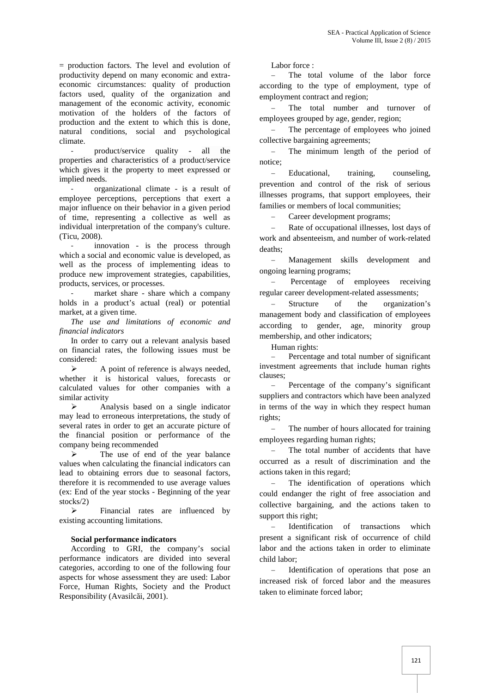= production factors. The level and evolution of productivity depend on many economic and extra economic circumstances: quality of production factors used, quality of the organization and management of the economic activity, economic motivation of the holders of the factors of production and the extent to which this is done, natural conditions, social and psychological climate.

product/service quality - all the properties and characteristics of a product/service which gives it the property to meet expressed or implied needs.

- organizational climate - is a result of employee perceptions, perceptions that exert a major influence on their behavior in a given period of time, representing a collective as well as individual interpretation of the company's culture. (Ticu, 2008).

innovation - is the process through which a social and economic value is developed, as well as the process of implementing ideas to produce new improvement strategies, capabilities, products, services, or processes.

market share - share which a company holds in a product's actual (real) or potential market, at a given time.

*The use and limitations of economic and financial indicators*

In order to carry out a relevant analysis based on financial rates, the following issues must be considered:

 $\triangleright$  A point of reference is always needed, whether it is historical values, forecasts or calculated values for other companies with a similar activity

> Analysis based on a single indicator may lead to erroneous interpretations, the study of several rates in order to get an accurate picture of the financial position or performance of the company being recommended

 $\triangleright$  The use of end of the year balance values when calculating the financial indicators can lead to obtaining errors due to seasonal factors, therefore it is recommended to use average values (ex: End of the year stocks - Beginning of the year stocks/2)

 $\triangleright$  Financial rates are influenced by existing accounting limitations.

## **Social performance indicators**

According to GRI, the company's social performance indicators are divided into several categories, according to one of the following four aspects for whose assessment they are used: Labor Force, Human Rights, Society and the Product Responsibility (Avasilc i, 2001).

Labor force :

 The total volume of the labor force according to the type of employment, type of employment contract and region;

 The total number and turnover of employees grouped by age, gender, region;

 The percentage of employees who joined collective bargaining agreements;

 The minimum length of the period of notice;

- Educational, training, counseling, prevention and control of the risk of serious illnesses programs, that support employees, their families or members of local communities;

Career development programs;

 Rate of occupational illnesses, lost days of work and absenteeism, and number of work-related deaths;

 Management skills development and ongoing learning programs;

 Percentage of employees receiving regular career development-related assessments;

 Structure of the organization's management body and classification of employees according to gender, age, minority group membership, and other indicators;

Human rights:

 Percentage and total number of significant investment agreements that include human rights clauses;

 Percentage of the company's significant suppliers and contractors which have been analyzed in terms of the way in which they respect human rights;

 The number of hours allocated for training employees regarding human rights;

- The total number of accidents that have occurred as a result of discrimination and the actions taken in this regard;

 The identification of operations which could endanger the right of free association and collective bargaining, and the actions taken to support this right;

 Identification of transactions which present a significant risk of occurrence of child labor and the actions taken in order to eliminate child labor;

 Identification of operations that pose an increased risk of forced labor and the measures taken to eliminate forced labor;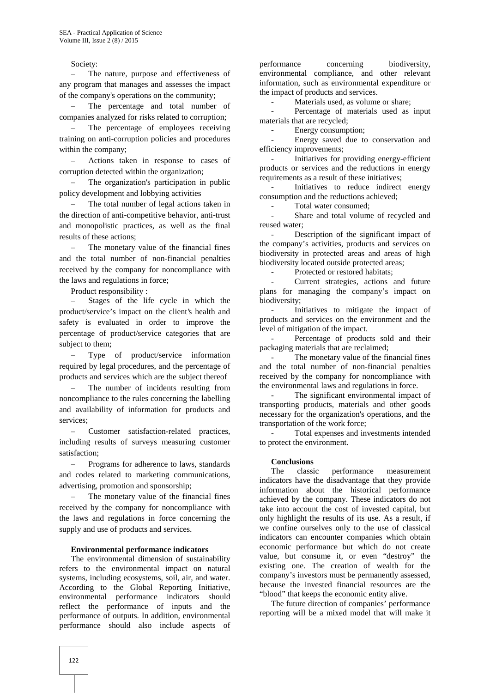Society:

 The nature, purpose and effectiveness of any program that manages and assesses the impact of the company's operations on the community;

 The percentage and total number of companies analyzed for risks related to corruption;

 The percentage of employees receiving training on anti-corruption policies and procedures within the company;

 Actions taken in response to cases of corruption detected within the organization;

 The organization's participation in public policy development and lobbying activities

 The total number of legal actions taken in the direction of anti-competitive behavior, anti-trust and monopolistic practices, as well as the final results of these actions;

 The monetary value of the financial fines and the total number of non-financial penalties received by the company for noncompliance with the laws and regulations in force;

Product responsibility :

 Stages of the life cycle in which the product/service's impact on the client's health and safety is evaluated in order to improve the percentage of product/service categories that are subject to them;

 Type of product/service information required by legal procedures, and the percentage of products and services which are the subject thereof

 The number of incidents resulting from noncompliance to the rules concerning the labelling and availability of information for products and services;

 Customer satisfaction-related practices, including results of surveys measuring customer satisfaction;

 Programs for adherence to laws, standards and codes related to marketing communications, advertising, promotion and sponsorship;

 The monetary value of the financial fines received by the company for noncompliance with the laws and regulations in force concerning the supply and use of products and services.

#### **Environmental performance indicators**

The environmental dimension of sustainability refers to the environmental impact on natural systems, including ecosystems, soil, air, and water. According to the Global Reporting Initiative, environmental performance indicators should reflect the performance of inputs and the performance of outputs. In addition, environmental performance should also include aspects of

performance concerning biodiversity, environmental compliance, and other relevant information, such as environmental expenditure or the impact of products and services.

Materials used, as volume or share:

Percentage of materials used as input materials that are recycled;

- Energy consumption;

Energy saved due to conservation and efficiency improvements;

- Initiatives for providing energy-efficient products or services and the reductions in energy requirements as a result of these initiatives;

Initiatives to reduce indirect energy consumption and the reductions achieved;

- Total water consumed;

Share and total volume of recycled and reused water;

- Description of the significant impact of the company's activities, products and services on biodiversity in protected areas and areas of high biodiversity located outside protected areas;

Protected or restored habitats;

Current strategies, actions and future plans for managing the company's impact on biodiversity;

Initiatives to mitigate the impact of products and services on the environment and the level of mitigation of the impact.

Percentage of products sold and their packaging materials that are reclaimed;

The monetary value of the financial fines and the total number of non-financial penalties received by the company for noncompliance with the environmental laws and regulations in force.

The significant environmental impact of transporting products, materials and other goods necessary for the organization's operations, and the transportation of the work force;

Total expenses and investments intended to protect the environment.

#### **Conclusions**

The classic performance measurement indicators have the disadvantage that they provide information about the historical performance achieved by the company. These indicators do not take into account the cost of invested capital, but only highlight the results of its use. As a result, if we confine ourselves only to the use of classical indicators can encounter companies which obtain economic performance but which do not create value, but consume it, or even "destroy" the existing one. The creation of wealth for the company's investors must be permanently assessed, because the invested financial resources are the "blood" that keeps the economic entity alive.

The future direction of companies' performance reporting will be a mixed model that will make it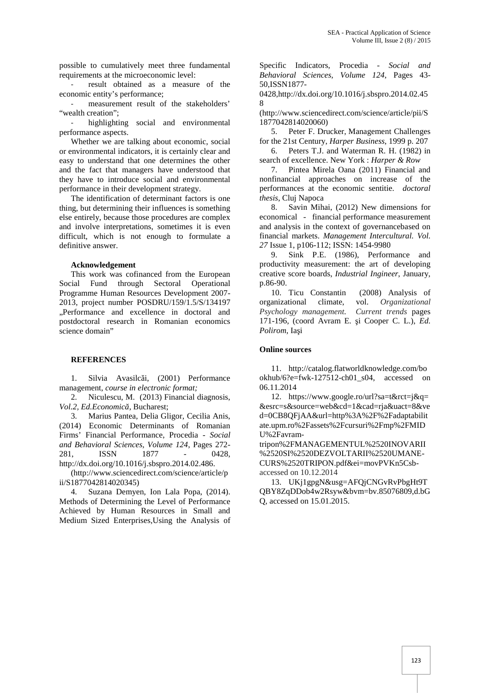possible to cumulatively meet three fundamental requirements at the microeconomic level:

result obtained as a measure of the economic entity's performance;

measurement result of the stakeholders' "wealth creation":

highlighting social and environmental performance aspects.

Whether we are talking about economic, social or environmental indicators, it is certainly clear and easy to understand that one determines the other and the fact that managers have understood that they have to introduce social and environmental performance in their development strategy.

The identification of determinant factors is one thing, but determining their influences is something else entirely, because those procedures are complex and involve interpretations, sometimes it is even difficult, which is not enough to formulate a definitive answer.

#### **Acknowledgement**

This work was cofinanced from the European Social Fund through Sectoral Operational Programme Human Resources Development 2007- 2013, project number POSDRU/159/1.5/S/134197 "Performance and excellence in doctoral and postdoctoral research in Romanian economics science domain"

#### **REFERENCES**

1. Silvia Avasilci, (2001) Performance management, *course in electronic format;*

2. Niculescu, M. (2013) Financial diagnosis, *Vol.2, Ed.Economic*, Bucharest;

3. Marius Pantea, Delia Gligor, Cecilia Anis, (2014) Economic Determinants of Romanian Firms' Financial Performance, Procedia - *Social and Behavioral Sciences, Volume 124*, Pages 272- 281, ISSN 1877 - 0428, http://dx.doi.org/10.1016/j.sbspro.2014.02.486.

(http://www.sciencedirect.com/science/article/p ii/S1877042814020345)

4. Suzana Demyen, Ion Lala Popa, (2014). Methods of Determining the Level of Performance Achieved by Human Resources in Small and Medium Sized Enterprises,Using the Analysis of Specific Indicators, Procedia - *Social and Behavioral Sciences, Volume 124*, Pages 43- 50,ISSN1877-

0428,http://dx.doi.org/10.1016/j.sbspro.2014.02.45 8

(http://www.sciencedirect.com/science/article/pii/S 1877042814020060)

5. Peter F. Drucker, Management Challenges for the 21st Century, *Harper Business*, 1999 p. 207

6. Peters T.J. and Waterman R. H. (1982) in search of excellence. New York : *Harper & Row*

7. Pintea Mirela Oana (2011) Financial and nonfinancial approaches on increase of the performances at the economic sentitie. *doctoral thesis*, Cluj Napoca

8. Savin Mihai, (2012) New dimensions for economical - financial performance measurement and analysis in the context of governancebased on financial markets. *Management Intercultural. Vol. 27* Issue 1, p106-112; ISSN: 1454-9980

9. Sink P.E. (1986), Performance and productivity measurement: the art of developing creative score boards, *Industrial Ingineer*, January, p.86-90.

10. Ticu Constantin (2008) Analysis of organizational climate, vol. *Organizational Psychology management. Current trends* pages 171-196, (coord Avram E. i Cooper C. L.), *Ed. Polirom*, Ia i

## **Online sources**

11. http://catalog.flatworldknowledge.com/bo okhub/6?e=fwk-127512-ch01\_s04, accessed on 06.11.2014

12. https://www.google.ro/url?sa=t&rct=j&q= &esrc=s&source=web&cd=1&cad=rja&uact=8&ve d=0CB8QFjAA&url=http%3A%2F%2Fadaptabilit ate.upm.ro%2Fassets%2Fcursuri%2Fmp%2FMID U%2Favram-

tripon%2FMANAGEMENTUL%2520INOVARII %2520SI%2520DEZVOLTARII%2520UMANE- CURS%2520TRIPON.pdf&ei=movPVKn5Csb accessed on 10.12.2014

13. UKj1gpgN&usg=AFQjCNGvRvPbgHt9T QBY8ZqDDob4w2Rsyw&bvm=bv.85076809,d.bG Q, accessed on 15.01.2015.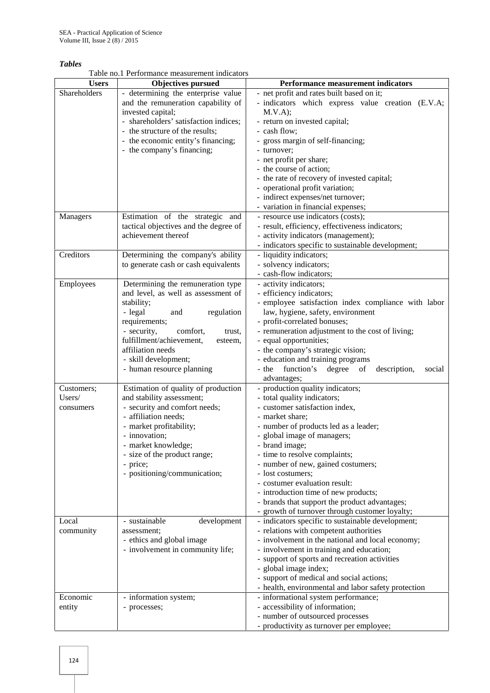## *Tables*

Table no.1 Performance measurement indicators

| <b>Users</b> | <b>Objectives pursued</b>             | <b>Performance measurement indicators</b>                     |
|--------------|---------------------------------------|---------------------------------------------------------------|
| Shareholders | - determining the enterprise value    | - net profit and rates built based on it;                     |
|              | and the remuneration capability of    | - indicators which express value creation (E.V.A;             |
|              | invested capital;                     | M.V.A);                                                       |
|              | - shareholders' satisfaction indices; | - return on invested capital;                                 |
|              | - the structure of the results;       | - cash flow;                                                  |
|              | - the economic entity's financing;    | - gross margin of self-financing;                             |
|              | - the company's financing;            | - turnover;                                                   |
|              |                                       | - net profit per share;                                       |
|              |                                       | - the course of action;                                       |
|              |                                       | - the rate of recovery of invested capital;                   |
|              |                                       | - operational profit variation;                               |
|              |                                       |                                                               |
|              |                                       | - indirect expenses/net turnover;                             |
|              |                                       | - variation in financial expenses;                            |
| Managers     | Estimation of the strategic and       | - resource use indicators (costs);                            |
|              | tactical objectives and the degree of | - result, efficiency, effectiveness indicators;               |
|              | achievement thereof                   | - activity indicators (management);                           |
|              |                                       | - indicators specific to sustainable development;             |
| Creditors    | Determining the company's ability     | - liquidity indicators;                                       |
|              | to generate cash or cash equivalents  | - solvency indicators;                                        |
|              |                                       | - cash-flow indicators;                                       |
| Employees    | Determining the remuneration type     | - activity indicators;                                        |
|              | and level, as well as assessment of   | - efficiency indicators;                                      |
|              | stability;                            | - employee satisfaction index compliance with labor           |
|              | - legal<br>regulation<br>and          | law, hygiene, safety, environment                             |
|              | requirements;                         | - profit-correlated bonuses;                                  |
|              | - security,<br>comfort,<br>trust,     | - remuneration adjustment to the cost of living;              |
|              | fulfillment/achievement,<br>esteem,   | - equal opportunities;                                        |
|              | affiliation needs                     | - the company's strategic vision;                             |
|              | - skill development;                  | - education and training programs                             |
|              | - human resource planning             | - the<br>function's<br>degree<br>description,<br>of<br>social |
|              |                                       | advantages;                                                   |
| Customers;   | Estimation of quality of production   | - production quality indicators;                              |
| Users/       | and stability assessment;             | - total quality indicators;                                   |
| consumers    | - security and comfort needs;         | - customer satisfaction index,                                |
|              | - affiliation needs;                  | - market share;                                               |
|              | - market profitability;               | - number of products led as a leader;                         |
|              | - innovation;                         | - global image of managers;                                   |
|              | - market knowledge;                   | - brand image;                                                |
|              | - size of the product range;          | - time to resolve complaints;                                 |
|              | - price;                              | - number of new, gained costumers;                            |
|              | - positioning/communication;          | - lost costumers;                                             |
|              |                                       | - costumer evaluation result:                                 |
|              |                                       | - introduction time of new products;                          |
|              |                                       | - brands that support the product advantages;                 |
|              |                                       | - growth of turnover through customer loyalty;                |
| Local        | - sustainable<br>development          | - indicators specific to sustainable development;             |
| community    | assessment;                           | - relations with competent authorities                        |
|              | - ethics and global image             | - involvement in the national and local economy;              |
|              | - involvement in community life;      | - involvement in training and education;                      |
|              |                                       | - support of sports and recreation activities                 |
|              |                                       | - global image index;                                         |
|              |                                       | - support of medical and social actions;                      |
|              |                                       | - health, environmental and labor safety protection           |
| Economic     | - information system;                 | - informational system performance;                           |
| entity       | - processes;                          | - accessibility of information;                               |
|              |                                       | - number of outsourced processes                              |
|              |                                       | - productivity as turnover per employee;                      |